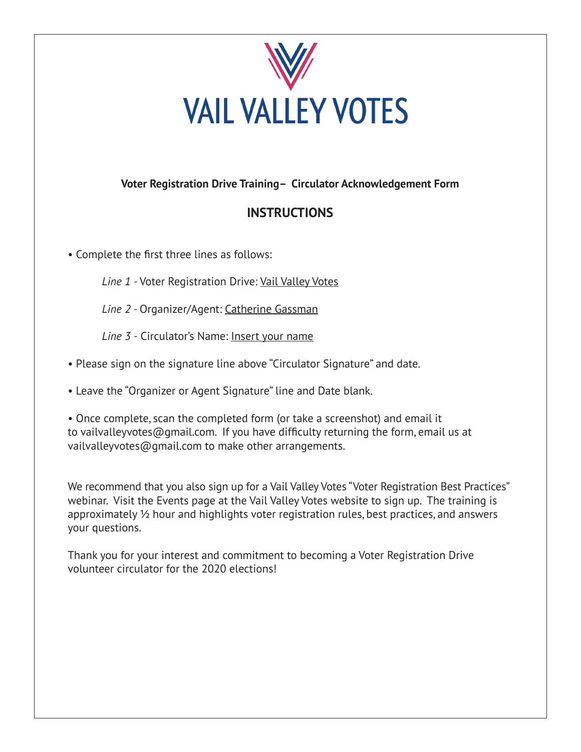

## **Voter Registration Drive Training– Circulator Acknowledgement Form**

## **INSTRUCTIONS**

• Complete the first three lines as follows:

Line 1 - Voter Registration Drive: Vail Valley Votes

*Line 2 -* Organizer/Agent: Catherine Gassman

*Line 3 -* Circulator's Name: Insert your name

- Please sign on the signature line above "Circulator Signature" and date.
- Leave the "Organizer or Agent Signature" line and Date blank.

• Once complete, scan the completed form (or take a screenshot) and email it to vailvalleyvotes@gmail.com. If you have difficulty returning the form, email us at vailvalleyvotes@gmail.com to make other arrangements.

We recommend that you also sign up for a Vail Valley Votes "Voter Registration Best Practices" webinar. Visit the Events page at the Vail Valley Votes website to sign up. The training is approximately ½ hour and highlights voter registration rules, best practices, and answers your questions.

Thank you for your interest and commitment to becoming a Voter Registration Drive volunteer circulator for the 2020 elections!